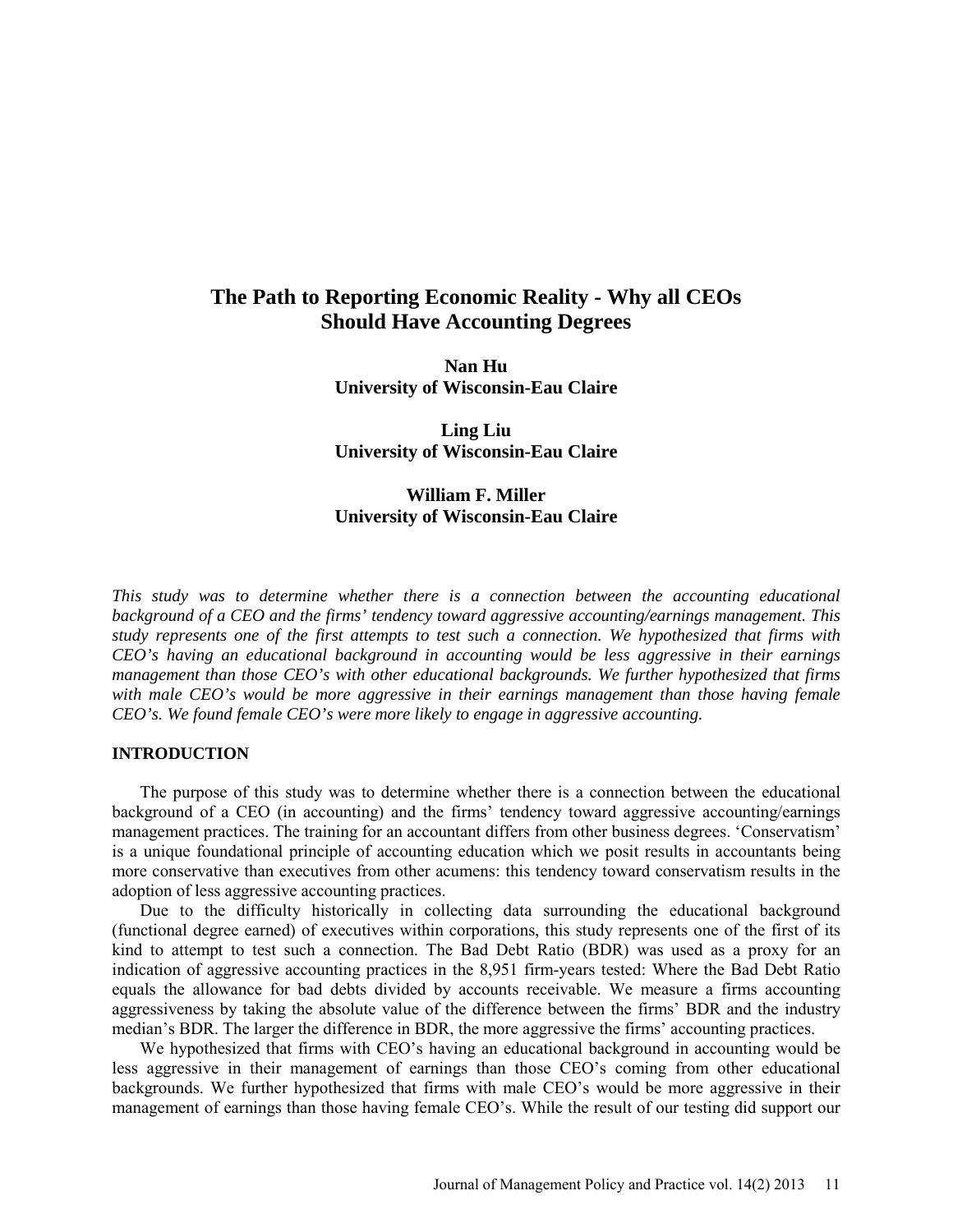# **The Path to Reporting Economic Reality - Why all CEOs Should Have Accounting Degrees**

**Nan Hu University of Wisconsin-Eau Claire** 

**Ling Liu University of Wisconsin-Eau Claire** 

## **William F. Miller University of Wisconsin-Eau Claire**

*This study was to determine whether there is a connection between the accounting educational background of a CEO and the firms' tendency toward aggressive accounting/earnings management. This study represents one of the first attempts to test such a connection. We hypothesized that firms with CEO's having an educational background in accounting would be less aggressive in their earnings management than those CEO's with other educational backgrounds. We further hypothesized that firms with male CEO's would be more aggressive in their earnings management than those having female CEO's. We found female CEO's were more likely to engage in aggressive accounting.* 

#### **INTRODUCTION**

The purpose of this study was to determine whether there is a connection between the educational background of a CEO (in accounting) and the firms' tendency toward aggressive accounting/earnings management practices. The training for an accountant differs from other business degrees. 'Conservatism' is a unique foundational principle of accounting education which we posit results in accountants being more conservative than executives from other acumens: this tendency toward conservatism results in the adoption of less aggressive accounting practices.

Due to the difficulty historically in collecting data surrounding the educational background (functional degree earned) of executives within corporations, this study represents one of the first of its kind to attempt to test such a connection. The Bad Debt Ratio (BDR) was used as a proxy for an indication of aggressive accounting practices in the 8,951 firm-years tested: Where the Bad Debt Ratio equals the allowance for bad debts divided by accounts receivable. We measure a firms accounting aggressiveness by taking the absolute value of the difference between the firms' BDR and the industry median's BDR. The larger the difference in BDR, the more aggressive the firms' accounting practices.

We hypothesized that firms with CEO's having an educational background in accounting would be less aggressive in their management of earnings than those CEO's coming from other educational backgrounds. We further hypothesized that firms with male CEO's would be more aggressive in their management of earnings than those having female CEO's. While the result of our testing did support our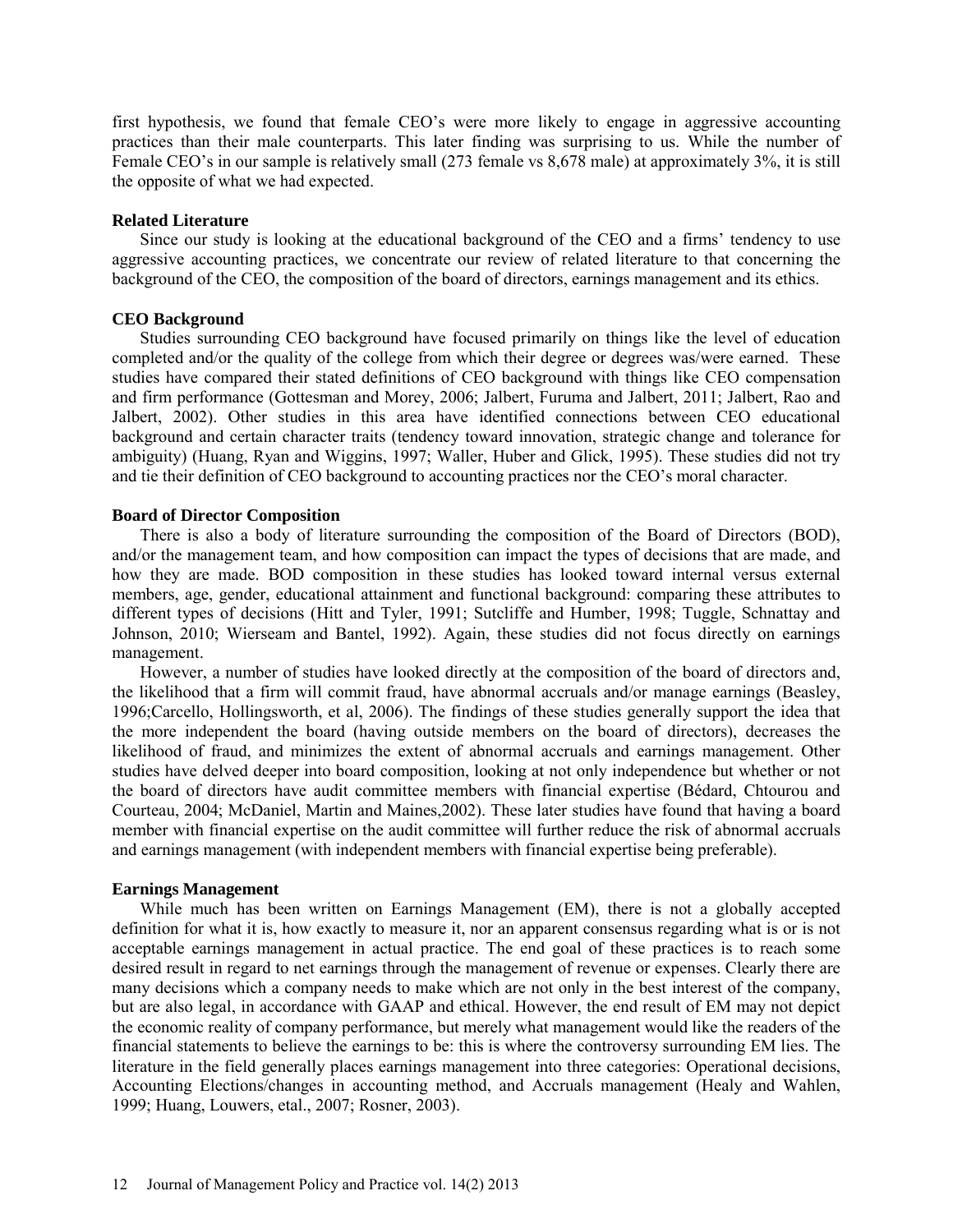first hypothesis, we found that female CEO's were more likely to engage in aggressive accounting practices than their male counterparts. This later finding was surprising to us. While the number of Female CEO's in our sample is relatively small (273 female vs 8,678 male) at approximately 3%, it is still the opposite of what we had expected.

#### **Related Literature**

Since our study is looking at the educational background of the CEO and a firms' tendency to use aggressive accounting practices, we concentrate our review of related literature to that concerning the background of the CEO, the composition of the board of directors, earnings management and its ethics.

#### **CEO Background**

Studies surrounding CEO background have focused primarily on things like the level of education completed and/or the quality of the college from which their degree or degrees was/were earned. These studies have compared their stated definitions of CEO background with things like CEO compensation and firm performance (Gottesman and Morey, 2006; Jalbert, Furuma and Jalbert, 2011; Jalbert, Rao and Jalbert, 2002). Other studies in this area have identified connections between CEO educational background and certain character traits (tendency toward innovation, strategic change and tolerance for ambiguity) (Huang, Ryan and Wiggins, 1997; Waller, Huber and Glick, 1995). These studies did not try and tie their definition of CEO background to accounting practices nor the CEO's moral character.

#### **Board of Director Composition**

There is also a body of literature surrounding the composition of the Board of Directors (BOD), and/or the management team, and how composition can impact the types of decisions that are made, and how they are made. BOD composition in these studies has looked toward internal versus external members, age, gender, educational attainment and functional background: comparing these attributes to different types of decisions (Hitt and Tyler, 1991; Sutcliffe and Humber, 1998; Tuggle, Schnattay and Johnson, 2010; Wierseam and Bantel, 1992). Again, these studies did not focus directly on earnings management.

However, a number of studies have looked directly at the composition of the board of directors and, the likelihood that a firm will commit fraud, have abnormal accruals and/or manage earnings (Beasley, 1996;Carcello, Hollingsworth, et al, 2006). The findings of these studies generally support the idea that the more independent the board (having outside members on the board of directors), decreases the likelihood of fraud, and minimizes the extent of abnormal accruals and earnings management. Other studies have delved deeper into board composition, looking at not only independence but whether or not the board of directors have audit committee members with financial expertise (Bédard, Chtourou and Courteau, 2004; McDaniel, Martin and Maines,2002). These later studies have found that having a board member with financial expertise on the audit committee will further reduce the risk of abnormal accruals and earnings management (with independent members with financial expertise being preferable).

#### **Earnings Management**

While much has been written on Earnings Management (EM), there is not a globally accepted definition for what it is, how exactly to measure it, nor an apparent consensus regarding what is or is not acceptable earnings management in actual practice. The end goal of these practices is to reach some desired result in regard to net earnings through the management of revenue or expenses. Clearly there are many decisions which a company needs to make which are not only in the best interest of the company, but are also legal, in accordance with GAAP and ethical. However, the end result of EM may not depict the economic reality of company performance, but merely what management would like the readers of the financial statements to believe the earnings to be: this is where the controversy surrounding EM lies. The literature in the field generally places earnings management into three categories: Operational decisions, Accounting Elections/changes in accounting method, and Accruals management (Healy and Wahlen, 1999; Huang, Louwers, etal., 2007; Rosner, 2003).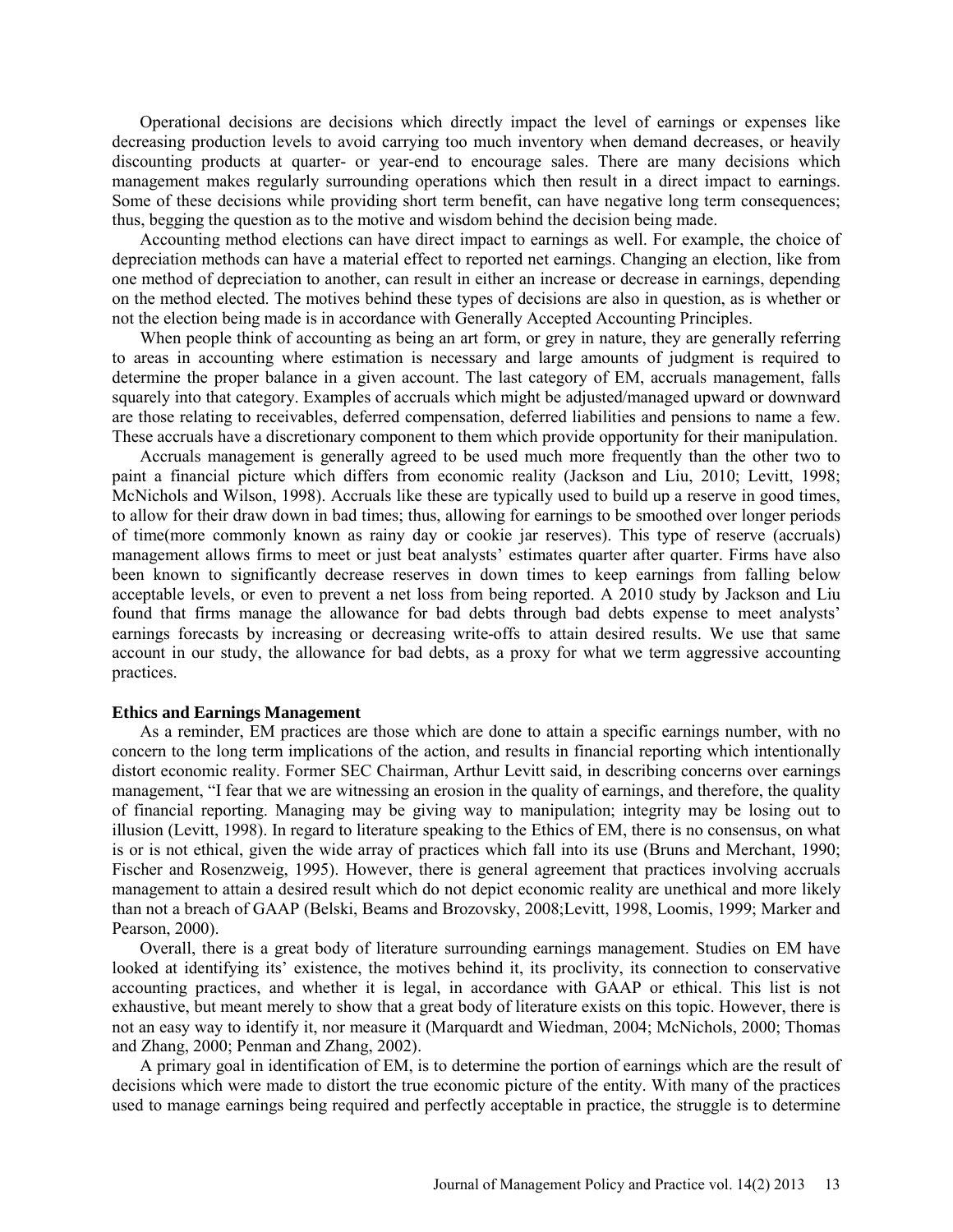Operational decisions are decisions which directly impact the level of earnings or expenses like decreasing production levels to avoid carrying too much inventory when demand decreases, or heavily discounting products at quarter- or year-end to encourage sales. There are many decisions which management makes regularly surrounding operations which then result in a direct impact to earnings. Some of these decisions while providing short term benefit, can have negative long term consequences; thus, begging the question as to the motive and wisdom behind the decision being made.

Accounting method elections can have direct impact to earnings as well. For example, the choice of depreciation methods can have a material effect to reported net earnings. Changing an election, like from one method of depreciation to another, can result in either an increase or decrease in earnings, depending on the method elected. The motives behind these types of decisions are also in question, as is whether or not the election being made is in accordance with Generally Accepted Accounting Principles.

When people think of accounting as being an art form, or grey in nature, they are generally referring to areas in accounting where estimation is necessary and large amounts of judgment is required to determine the proper balance in a given account. The last category of EM, accruals management, falls squarely into that category. Examples of accruals which might be adjusted/managed upward or downward are those relating to receivables, deferred compensation, deferred liabilities and pensions to name a few. These accruals have a discretionary component to them which provide opportunity for their manipulation.

Accruals management is generally agreed to be used much more frequently than the other two to paint a financial picture which differs from economic reality (Jackson and Liu, 2010; Levitt, 1998; McNichols and Wilson, 1998). Accruals like these are typically used to build up a reserve in good times, to allow for their draw down in bad times; thus, allowing for earnings to be smoothed over longer periods of time(more commonly known as rainy day or cookie jar reserves). This type of reserve (accruals) management allows firms to meet or just beat analysts' estimates quarter after quarter. Firms have also been known to significantly decrease reserves in down times to keep earnings from falling below acceptable levels, or even to prevent a net loss from being reported. A 2010 study by Jackson and Liu found that firms manage the allowance for bad debts through bad debts expense to meet analysts' earnings forecasts by increasing or decreasing write-offs to attain desired results. We use that same account in our study, the allowance for bad debts, as a proxy for what we term aggressive accounting practices.

#### **Ethics and Earnings Management**

As a reminder, EM practices are those which are done to attain a specific earnings number, with no concern to the long term implications of the action, and results in financial reporting which intentionally distort economic reality. Former SEC Chairman, Arthur Levitt said, in describing concerns over earnings management, "I fear that we are witnessing an erosion in the quality of earnings, and therefore, the quality of financial reporting. Managing may be giving way to manipulation; integrity may be losing out to illusion (Levitt, 1998). In regard to literature speaking to the Ethics of EM, there is no consensus, on what is or is not ethical, given the wide array of practices which fall into its use (Bruns and Merchant, 1990; Fischer and Rosenzweig, 1995). However, there is general agreement that practices involving accruals management to attain a desired result which do not depict economic reality are unethical and more likely than not a breach of GAAP (Belski, Beams and Brozovsky, 2008;Levitt, 1998, Loomis, 1999; Marker and Pearson, 2000).

Overall, there is a great body of literature surrounding earnings management. Studies on EM have looked at identifying its' existence, the motives behind it, its proclivity, its connection to conservative accounting practices, and whether it is legal, in accordance with GAAP or ethical. This list is not exhaustive, but meant merely to show that a great body of literature exists on this topic. However, there is not an easy way to identify it, nor measure it (Marquardt and Wiedman, 2004; McNichols, 2000; Thomas and Zhang, 2000; Penman and Zhang, 2002).

A primary goal in identification of EM, is to determine the portion of earnings which are the result of decisions which were made to distort the true economic picture of the entity. With many of the practices used to manage earnings being required and perfectly acceptable in practice, the struggle is to determine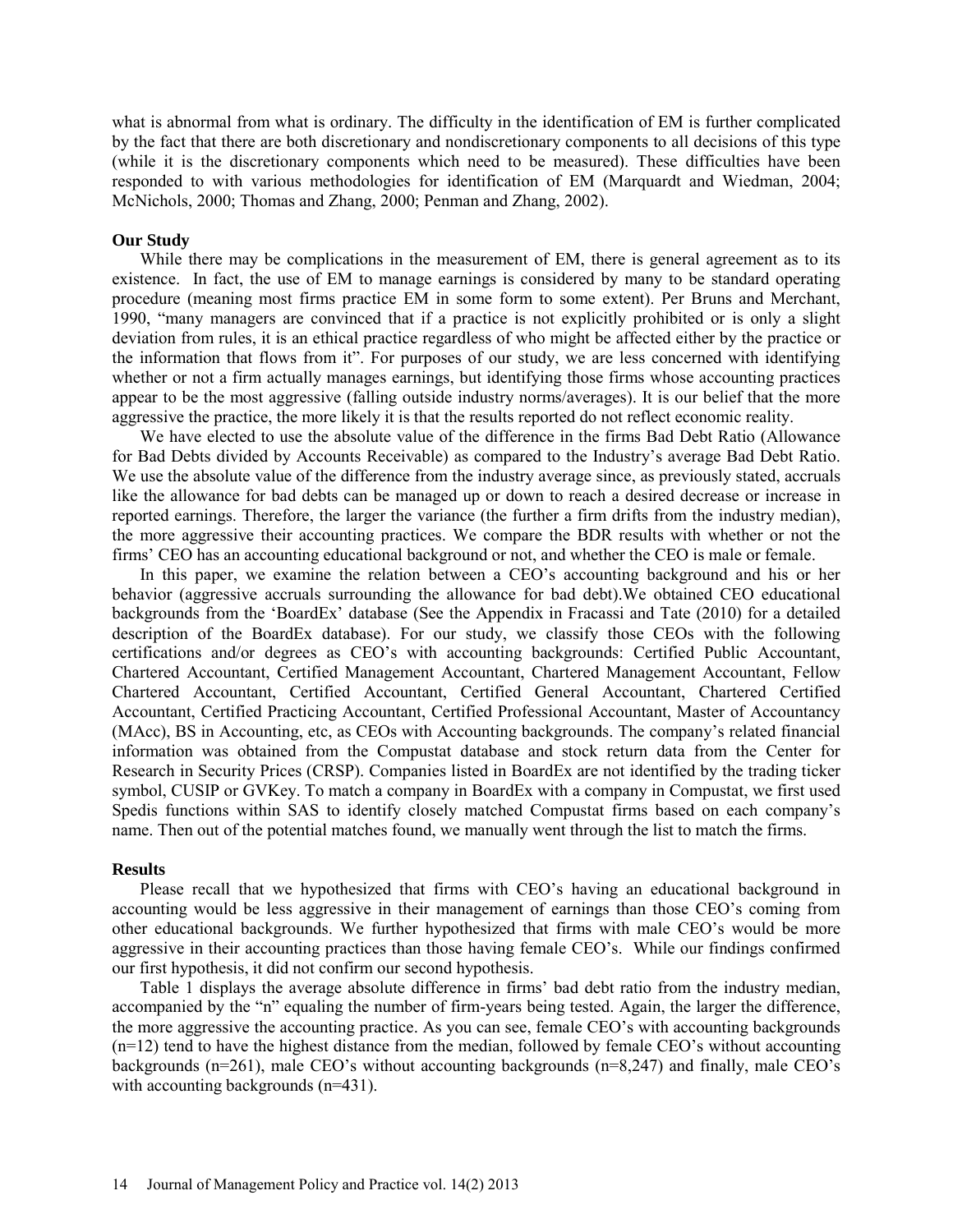what is abnormal from what is ordinary. The difficulty in the identification of EM is further complicated by the fact that there are both discretionary and nondiscretionary components to all decisions of this type (while it is the discretionary components which need to be measured). These difficulties have been responded to with various methodologies for identification of EM (Marquardt and Wiedman, 2004; McNichols, 2000; Thomas and Zhang, 2000; Penman and Zhang, 2002).

#### **Our Study**

While there may be complications in the measurement of EM, there is general agreement as to its existence. In fact, the use of EM to manage earnings is considered by many to be standard operating procedure (meaning most firms practice EM in some form to some extent). Per Bruns and Merchant, 1990, "many managers are convinced that if a practice is not explicitly prohibited or is only a slight deviation from rules, it is an ethical practice regardless of who might be affected either by the practice or the information that flows from it". For purposes of our study, we are less concerned with identifying whether or not a firm actually manages earnings, but identifying those firms whose accounting practices appear to be the most aggressive (falling outside industry norms/averages). It is our belief that the more aggressive the practice, the more likely it is that the results reported do not reflect economic reality.

We have elected to use the absolute value of the difference in the firms Bad Debt Ratio (Allowance for Bad Debts divided by Accounts Receivable) as compared to the Industry's average Bad Debt Ratio. We use the absolute value of the difference from the industry average since, as previously stated, accruals like the allowance for bad debts can be managed up or down to reach a desired decrease or increase in reported earnings. Therefore, the larger the variance (the further a firm drifts from the industry median), the more aggressive their accounting practices. We compare the BDR results with whether or not the firms' CEO has an accounting educational background or not, and whether the CEO is male or female.

In this paper, we examine the relation between a CEO's accounting background and his or her behavior (aggressive accruals surrounding the allowance for bad debt).We obtained CEO educational backgrounds from the 'BoardEx' database (See the Appendix in Fracassi and Tate (2010) for a detailed description of the BoardEx database). For our study, we classify those CEOs with the following certifications and/or degrees as CEO's with accounting backgrounds: Certified Public Accountant, Chartered Accountant, Certified Management Accountant, Chartered Management Accountant, Fellow Chartered Accountant, Certified Accountant, Certified General Accountant, Chartered Certified Accountant, Certified Practicing Accountant, Certified Professional Accountant, Master of Accountancy (MAcc), BS in Accounting, etc, as CEOs with Accounting backgrounds. The company's related financial information was obtained from the Compustat database and stock return data from the Center for Research in Security Prices (CRSP). Companies listed in BoardEx are not identified by the trading ticker symbol, CUSIP or GVKey. To match a company in BoardEx with a company in Compustat, we first used Spedis functions within SAS to identify closely matched Compustat firms based on each company's name. Then out of the potential matches found, we manually went through the list to match the firms.

#### **Results**

Please recall that we hypothesized that firms with CEO's having an educational background in accounting would be less aggressive in their management of earnings than those CEO's coming from other educational backgrounds. We further hypothesized that firms with male CEO's would be more aggressive in their accounting practices than those having female CEO's. While our findings confirmed our first hypothesis, it did not confirm our second hypothesis.

Table 1 displays the average absolute difference in firms' bad debt ratio from the industry median, accompanied by the "n" equaling the number of firm-years being tested. Again, the larger the difference, the more aggressive the accounting practice. As you can see, female CEO's with accounting backgrounds  $(n=12)$  tend to have the highest distance from the median, followed by female CEO's without accounting backgrounds (n=261), male CEO's without accounting backgrounds (n=8,247) and finally, male CEO's with accounting backgrounds (n=431).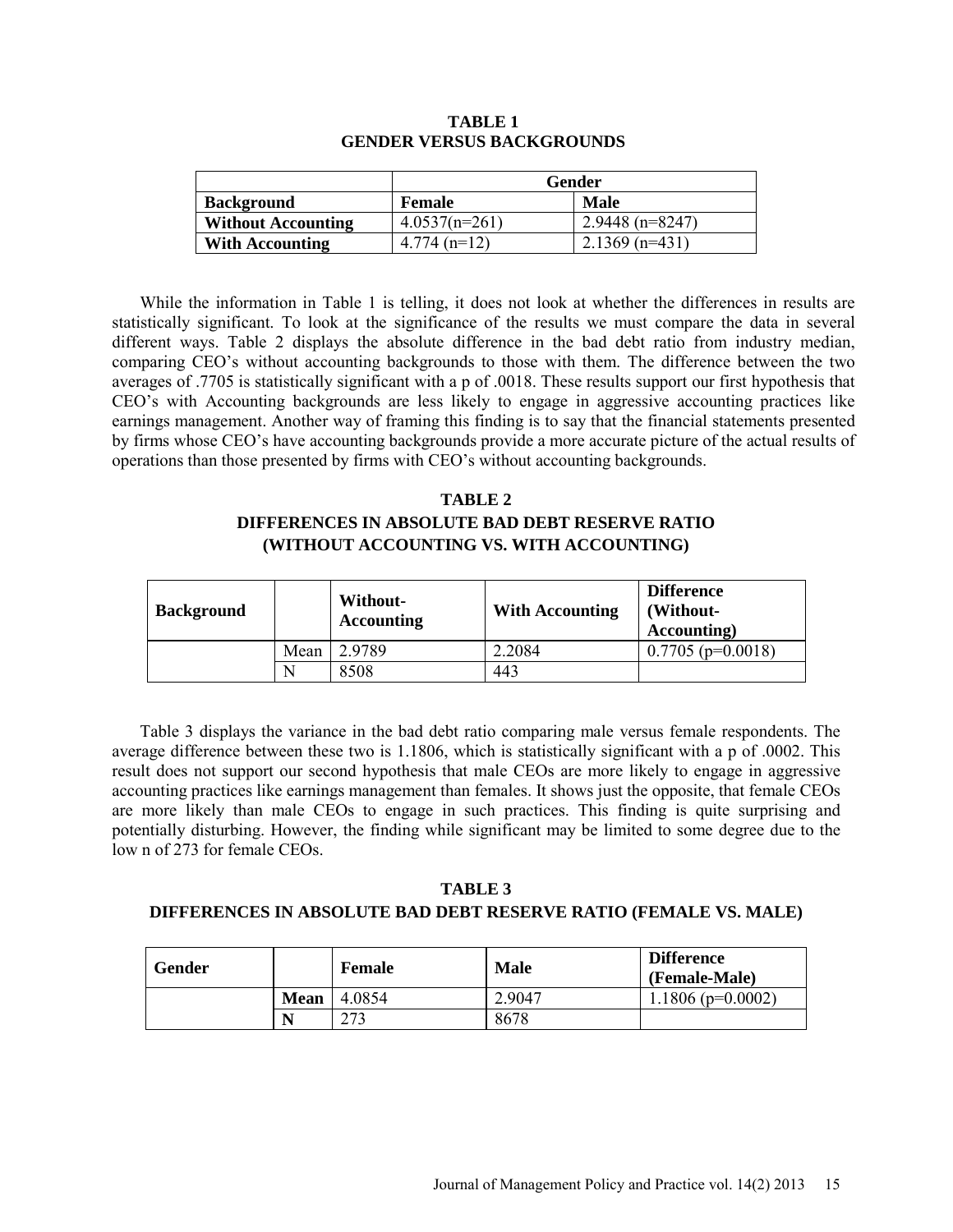|                           | Gender          |                  |  |
|---------------------------|-----------------|------------------|--|
| <b>Background</b>         | <b>Female</b>   | Male             |  |
| <b>Without Accounting</b> | $4.0537(n=261)$ | 2.9448 (n=8247)  |  |
| <b>With Accounting</b>    | $4.774$ (n=12)  | $2.1369$ (n=431) |  |

#### **TABLE 1 GENDER VERSUS BACKGROUNDS**

While the information in Table 1 is telling, it does not look at whether the differences in results are statistically significant. To look at the significance of the results we must compare the data in several different ways. Table 2 displays the absolute difference in the bad debt ratio from industry median, comparing CEO's without accounting backgrounds to those with them. The difference between the two averages of .7705 is statistically significant with a p of .0018. These results support our first hypothesis that CEO's with Accounting backgrounds are less likely to engage in aggressive accounting practices like earnings management. Another way of framing this finding is to say that the financial statements presented by firms whose CEO's have accounting backgrounds provide a more accurate picture of the actual results of operations than those presented by firms with CEO's without accounting backgrounds.

# **TABLE 2 DIFFERENCES IN ABSOLUTE BAD DEBT RESERVE RATIO (WITHOUT ACCOUNTING VS. WITH ACCOUNTING)**

| <b>Background</b> |      | Without-<br><b>Accounting</b> | <b>With Accounting</b> | <b>Difference</b><br>(Without-<br>Accounting) |
|-------------------|------|-------------------------------|------------------------|-----------------------------------------------|
|                   | Mean | 2.9789                        | 2.2084                 | $0.7705$ (p=0.0018)                           |
|                   | N    | 8508                          | 443                    |                                               |

Table 3 displays the variance in the bad debt ratio comparing male versus female respondents. The average difference between these two is 1.1806, which is statistically significant with a p of .0002. This result does not support our second hypothesis that male CEOs are more likely to engage in aggressive accounting practices like earnings management than females. It shows just the opposite, that female CEOs are more likely than male CEOs to engage in such practices. This finding is quite surprising and potentially disturbing. However, the finding while significant may be limited to some degree due to the low n of 273 for female CEOs.

# **TABLE 3**

## **DIFFERENCES IN ABSOLUTE BAD DEBT RESERVE RATIO (FEMALE VS. MALE)**

| Gender |             | <b>Female</b> | <b>Male</b> | <b>Difference</b><br>(Female-Male) |
|--------|-------------|---------------|-------------|------------------------------------|
|        | <b>Mean</b> | 4.0854        | 2.9047      | $1.1806$ (p=0.0002)                |
|        | N           | າາາ           | 8678        |                                    |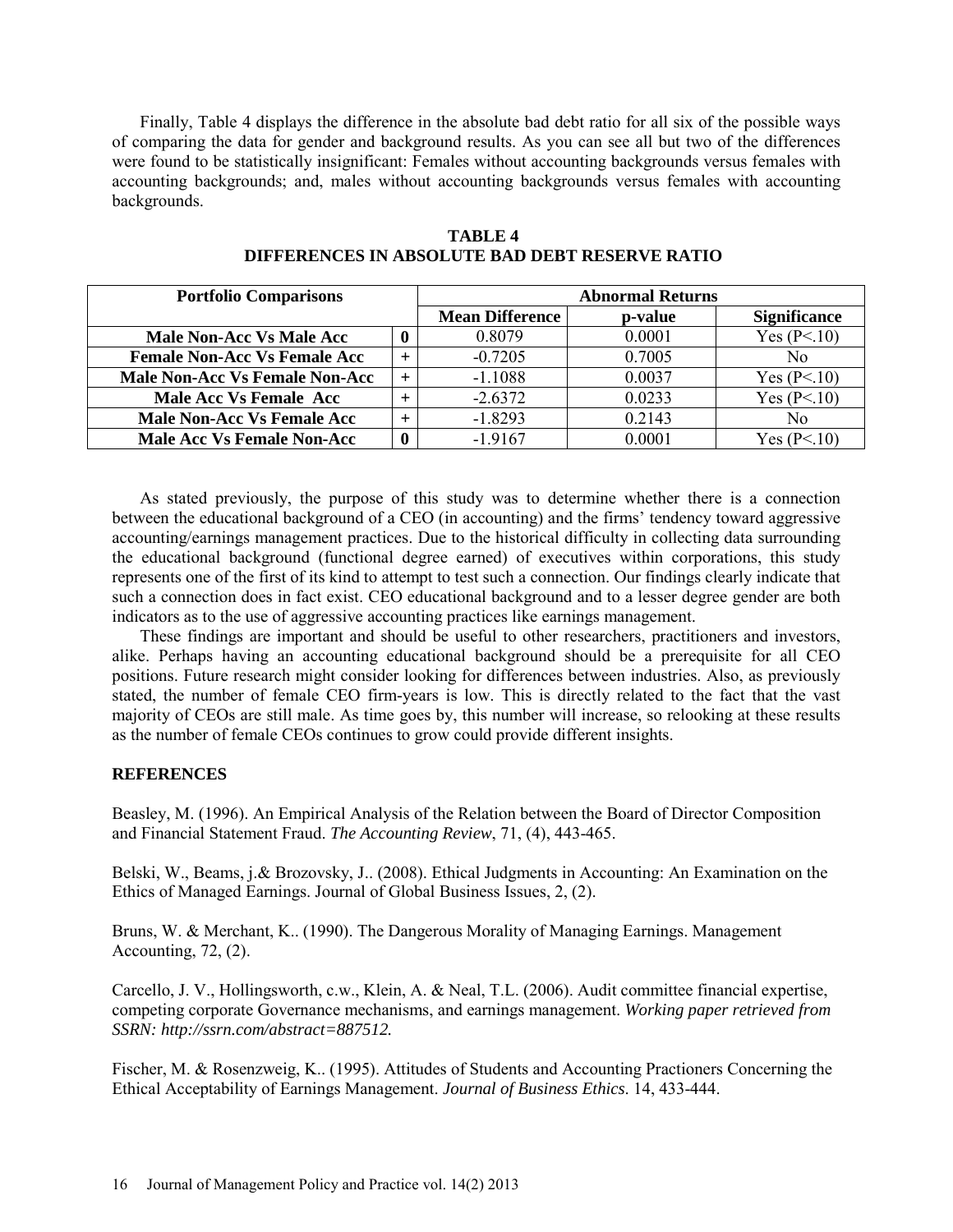Finally, Table 4 displays the difference in the absolute bad debt ratio for all six of the possible ways of comparing the data for gender and background results. As you can see all but two of the differences were found to be statistically insignificant: Females without accounting backgrounds versus females with accounting backgrounds; and, males without accounting backgrounds versus females with accounting backgrounds.

| <b>Portfolio Comparisons</b>          |   | <b>Abnormal Returns</b> |                 |                     |
|---------------------------------------|---|-------------------------|-----------------|---------------------|
|                                       |   | <b>Mean Difference</b>  | <b>p</b> -value | <b>Significance</b> |
| <b>Male Non-Acc Vs Male Acc</b>       | 0 | 0.8079                  | 0.0001          | Yes $(P<.10)$       |
| <b>Female Non-Acc Vs Female Acc</b>   |   | $-0.7205$               | 0.7005          | No                  |
| <b>Male Non-Acc Vs Female Non-Acc</b> |   | $-1.1088$               | 0.0037          | Yes $(P<.10)$       |
| <b>Male Acc Vs Female Acc</b>         |   | $-2.6372$               | 0.0233          | Yes $(P<.10)$       |
| <b>Male Non-Acc Vs Female Acc</b>     |   | $-1.8293$               | 0.2143          | No                  |
| <b>Male Acc Vs Female Non-Acc</b>     | 0 | $-1.9167$               | 0.0001          | Yes $(P<.10)$       |

## **TABLE 4 DIFFERENCES IN ABSOLUTE BAD DEBT RESERVE RATIO**

As stated previously, the purpose of this study was to determine whether there is a connection between the educational background of a CEO (in accounting) and the firms' tendency toward aggressive accounting/earnings management practices. Due to the historical difficulty in collecting data surrounding the educational background (functional degree earned) of executives within corporations, this study represents one of the first of its kind to attempt to test such a connection. Our findings clearly indicate that such a connection does in fact exist. CEO educational background and to a lesser degree gender are both indicators as to the use of aggressive accounting practices like earnings management.

These findings are important and should be useful to other researchers, practitioners and investors, alike. Perhaps having an accounting educational background should be a prerequisite for all CEO positions. Future research might consider looking for differences between industries. Also, as previously stated, the number of female CEO firm-years is low. This is directly related to the fact that the vast majority of CEOs are still male. As time goes by, this number will increase, so relooking at these results as the number of female CEOs continues to grow could provide different insights.

# **REFERENCES**

Beasley, M. (1996). An Empirical Analysis of the Relation between the Board of Director Composition and Financial Statement Fraud. *The Accounting Review*, 71, (4), 443-465.

Belski, W., Beams, j.& Brozovsky, J.. (2008). Ethical Judgments in Accounting: An Examination on the Ethics of Managed Earnings. Journal of Global Business Issues, 2, (2).

Bruns, W. & Merchant, K.. (1990). The Dangerous Morality of Managing Earnings. Management Accounting, 72, (2).

Carcello, J. V., Hollingsworth, c.w., Klein, A. & Neal, T.L. (2006). Audit committee financial expertise, competing corporate Governance mechanisms, and earnings management. *Working paper retrieved from SSRN: [http://ssrn.com/abstract=887512.](http://ssrn.com/abstract=887512)* 

Fischer, M. & Rosenzweig, K.. (1995). Attitudes of Students and Accounting Practioners Concerning the Ethical Acceptability of Earnings Management. *Journal of Business Ethics*. 14, 433-444.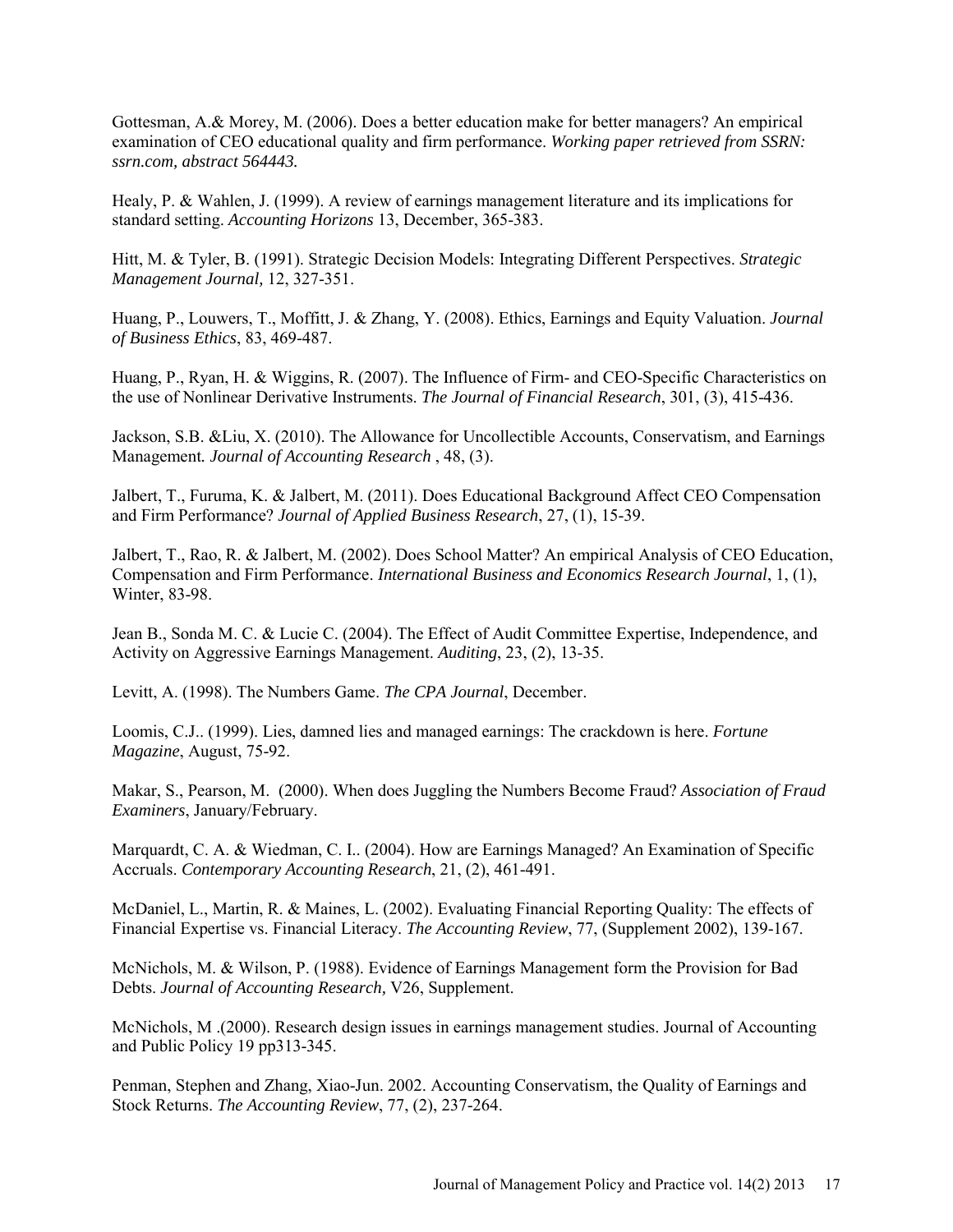Gottesman, A.& Morey, M. (2006). Does a better education make for better managers? An empirical examination of CEO educational quality and firm performance. *Working paper retrieved from SSRN: ssrn.com, abstract 564443.* 

Healy, P. & Wahlen, J. (1999). A review of earnings management literature and its implications for standard setting. *Accounting Horizons* 13, December, 365-383.

Hitt, M. & Tyler, B. (1991). Strategic Decision Models: Integrating Different Perspectives. *Strategic Management Journal,* 12, 327-351.

Huang, P., Louwers, T., Moffitt, J. & Zhang, Y. (2008). Ethics, Earnings and Equity Valuation. *Journal of Business Ethics*, 83, 469-487.

Huang, P., Ryan, H. & Wiggins, R. (2007). The Influence of Firm- and CEO-Specific Characteristics on the use of Nonlinear Derivative Instruments. *The Journal of Financial Research*, 301, (3), 415-436.

Jackson, S.B. &Liu, X. (2010). The Allowance for Uncollectible Accounts, Conservatism, and Earnings Management*. Journal of Accounting Research* , 48, (3).

Jalbert, T., Furuma, K. & Jalbert, M. (2011). Does Educational Background Affect CEO Compensation and Firm Performance? *Journal of Applied Business Research*, 27, (1), 15-39.

Jalbert, T., Rao, R. & Jalbert, M. (2002). Does School Matter? An empirical Analysis of CEO Education, Compensation and Firm Performance. *International Business and Economics Research Journal*, 1, (1), Winter, 83-98.

Jean B., Sonda M. C. & Lucie C. (2004). The Effect of Audit Committee Expertise, Independence, and Activity on Aggressive Earnings Management. *Auditing*, 23, (2), 13-35.

Levitt, A. (1998). The Numbers Game. *The CPA Journal*, December.

Loomis, C.J.. (1999). Lies, damned lies and managed earnings: The crackdown is here. *Fortune Magazine*, August, 75-92.

Makar, S., Pearson, M. (2000). When does Juggling the Numbers Become Fraud? *Association of Fraud Examiners*, January/February.

Marquardt, C. A. & Wiedman, C. I.. (2004). How are Earnings Managed? An Examination of Specific Accruals. *Contemporary Accounting Research*, 21, (2), 461-491.

McDaniel, L., Martin, R. & Maines, L. (2002). Evaluating Financial Reporting Quality: The effects of Financial Expertise vs. Financial Literacy. *The Accounting Review*, 77, (Supplement 2002), 139-167.

McNichols, M. & Wilson, P. (1988). Evidence of Earnings Management form the Provision for Bad Debts. *Journal of Accounting Research,* V26, Supplement.

McNichols, M .(2000). Research design issues in earnings management studies. Journal of Accounting and Public Policy 19 pp313-345.

Penman, Stephen and Zhang, Xiao-Jun. 2002. Accounting Conservatism, the Quality of Earnings and Stock Returns. *The Accounting Review*, 77, (2), 237-264.